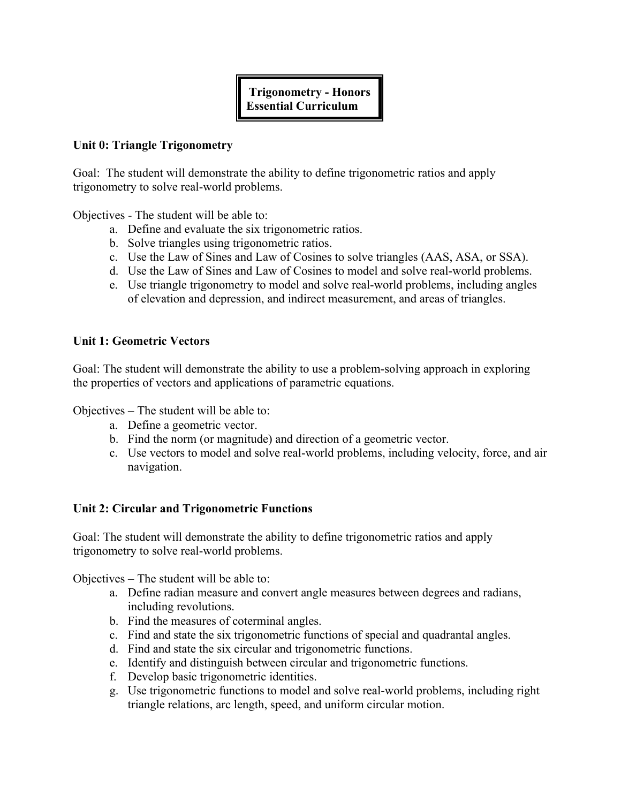# **Trigonometry - Honors Essential Curriculum**

#### **Unit 0: Triangle Trigonometry**

Goal: The student will demonstrate the ability to define trigonometric ratios and apply trigonometry to solve real-world problems.

Objectives - The student will be able to:

- a. Define and evaluate the six trigonometric ratios.
- b. Solve triangles using trigonometric ratios.
- c. Use the Law of Sines and Law of Cosines to solve triangles (AAS, ASA, or SSA).
- d. Use the Law of Sines and Law of Cosines to model and solve real-world problems.
- e. Use triangle trigonometry to model and solve real-world problems, including angles of elevation and depression, and indirect measurement, and areas of triangles.

### **Unit 1: Geometric Vectors**

Goal: The student will demonstrate the ability to use a problem-solving approach in exploring the properties of vectors and applications of parametric equations.

Objectives – The student will be able to:

- a. Define a geometric vector.
- b. Find the norm (or magnitude) and direction of a geometric vector.
- c. Use vectors to model and solve real-world problems, including velocity, force, and air navigation.

## **Unit 2: Circular and Trigonometric Functions**

Goal: The student will demonstrate the ability to define trigonometric ratios and apply trigonometry to solve real-world problems.

Objectives – The student will be able to:

- a. Define radian measure and convert angle measures between degrees and radians, including revolutions.
- b. Find the measures of coterminal angles.
- c. Find and state the six trigonometric functions of special and quadrantal angles.
- d. Find and state the six circular and trigonometric functions.
- e. Identify and distinguish between circular and trigonometric functions.
- f. Develop basic trigonometric identities.
- g. Use trigonometric functions to model and solve real-world problems, including right triangle relations, arc length, speed, and uniform circular motion.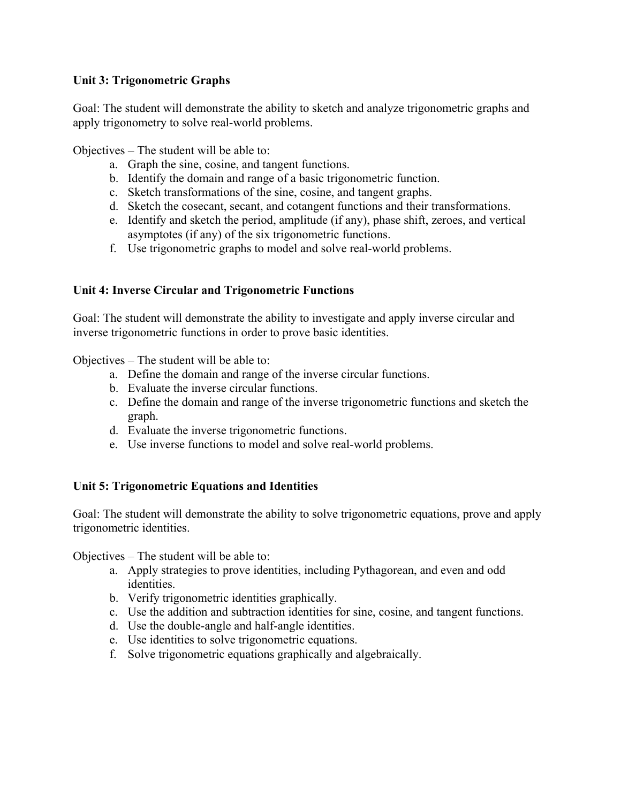## **Unit 3: Trigonometric Graphs**

Goal: The student will demonstrate the ability to sketch and analyze trigonometric graphs and apply trigonometry to solve real-world problems.

Objectives – The student will be able to:

- a. Graph the sine, cosine, and tangent functions.
- b. Identify the domain and range of a basic trigonometric function.
- c. Sketch transformations of the sine, cosine, and tangent graphs.
- d. Sketch the cosecant, secant, and cotangent functions and their transformations.
- e. Identify and sketch the period, amplitude (if any), phase shift, zeroes, and vertical asymptotes (if any) of the six trigonometric functions.
- f. Use trigonometric graphs to model and solve real-world problems.

## **Unit 4: Inverse Circular and Trigonometric Functions**

Goal: The student will demonstrate the ability to investigate and apply inverse circular and inverse trigonometric functions in order to prove basic identities.

Objectives – The student will be able to:

- a. Define the domain and range of the inverse circular functions.
- b. Evaluate the inverse circular functions.
- c. Define the domain and range of the inverse trigonometric functions and sketch the graph.
- d. Evaluate the inverse trigonometric functions.
- e. Use inverse functions to model and solve real-world problems.

## **Unit 5: Trigonometric Equations and Identities**

Goal: The student will demonstrate the ability to solve trigonometric equations, prove and apply trigonometric identities.

Objectives – The student will be able to:

- a. Apply strategies to prove identities, including Pythagorean, and even and odd identities.
- b. Verify trigonometric identities graphically.
- c. Use the addition and subtraction identities for sine, cosine, and tangent functions.
- d. Use the double-angle and half-angle identities.
- e. Use identities to solve trigonometric equations.
- f. Solve trigonometric equations graphically and algebraically.